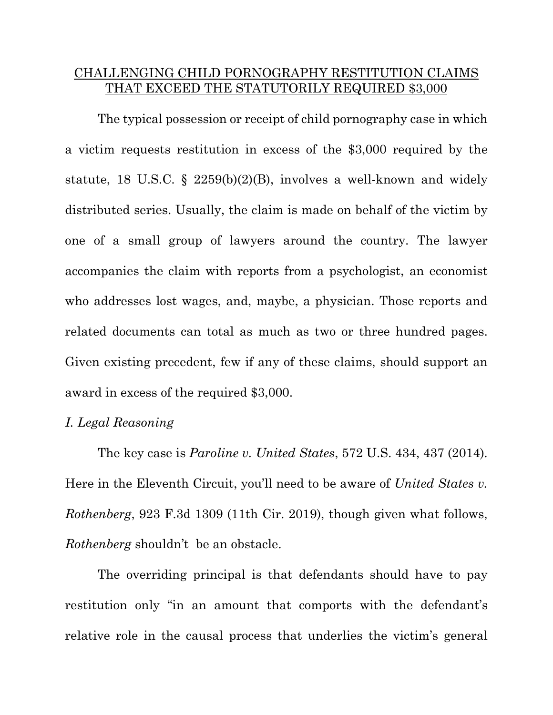# CHALLENGING CHILD PORNOGRAPHY RESTITUTION CLAIMS THAT EXCEED THE STATUTORILY REQUIRED \$3,000

The typical possession or receipt of child pornography case in which a victim requests restitution in excess of the \$3,000 required by the statute, 18 U.S.C.  $\S$  2259(b)(2)(B), involves a well-known and widely distributed series. Usually, the claim is made on behalf of the victim by one of a small group of lawyers around the country. The lawyer accompanies the claim with reports from a psychologist, an economist who addresses lost wages, and, maybe, a physician. Those reports and related documents can total as much as two or three hundred pages. Given existing precedent, few if any of these claims, should support an award in excess of the required \$3,000.

### *I. Legal Reasoning*

The key case is *Paroline v. United States*, 572 U.S. 434, 437 (2014). Here in the Eleventh Circuit, you'll need to be aware of *United States v. Rothenberg*, 923 F.3d 1309 (11th Cir. 2019), though given what follows, *Rothenberg* shouldn't be an obstacle.

The overriding principal is that defendants should have to pay restitution only "in an amount that comports with the defendant's relative role in the causal process that underlies the victim's general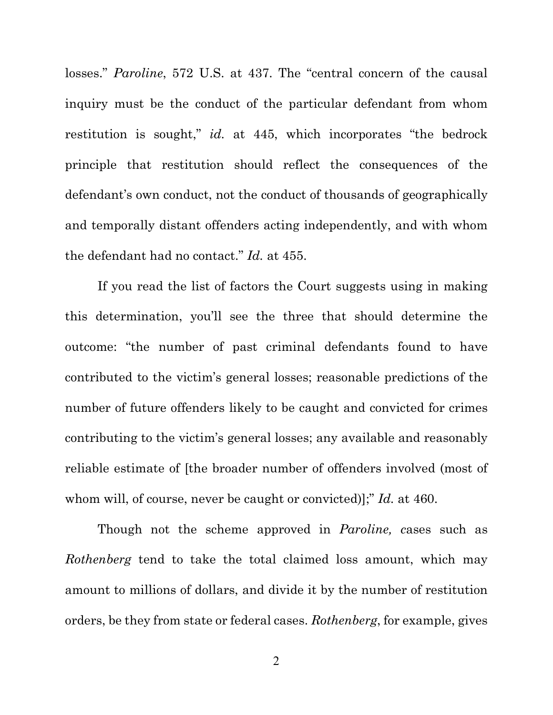losses." *Paroline*, 572 U.S. at 437. The "central concern of the causal inquiry must be the conduct of the particular defendant from whom restitution is sought," *id.* at 445, which incorporates "the bedrock principle that restitution should reflect the consequences of the defendant's own conduct, not the conduct of thousands of geographically and temporally distant offenders acting independently, and with whom the defendant had no contact." *Id.* at 455.

If you read the list of factors the Court suggests using in making this determination, you'll see the three that should determine the outcome: "the number of past criminal defendants found to have contributed to the victim's general losses; reasonable predictions of the number of future offenders likely to be caught and convicted for crimes contributing to the victim's general losses; any available and reasonably reliable estimate of [the broader number of offenders involved (most of whom will, of course, never be caught or convicted)];" *Id.* at 460.

Though not the scheme approved in *Paroline, c*ases such as *Rothenberg* tend to take the total claimed loss amount, which may amount to millions of dollars, and divide it by the number of restitution orders, be they from state or federal cases. *Rothenberg*, for example, gives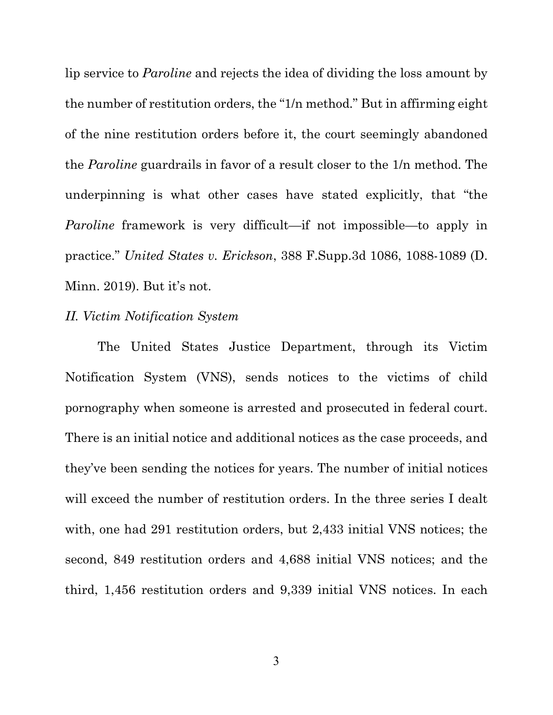lip service to *Paroline* and rejects the idea of dividing the loss amount by the number of restitution orders, the "1/n method." But in affirming eight of the nine restitution orders before it, the court seemingly abandoned the *Paroline* guardrails in favor of a result closer to the 1/n method. The underpinning is what other cases have stated explicitly, that "the *Paroline* framework is very difficult—if not impossible—to apply in practice." *United States v. Erickson*, 388 F.Supp.3d 1086, 1088-1089 (D. Minn. 2019). But it's not.

### *II. Victim Notification System*

The United States Justice Department, through its Victim Notification System (VNS), sends notices to the victims of child pornography when someone is arrested and prosecuted in federal court. There is an initial notice and additional notices as the case proceeds, and they've been sending the notices for years. The number of initial notices will exceed the number of restitution orders. In the three series I dealt with, one had 291 restitution orders, but 2,433 initial VNS notices; the second, 849 restitution orders and 4,688 initial VNS notices; and the third, 1,456 restitution orders and 9,339 initial VNS notices. In each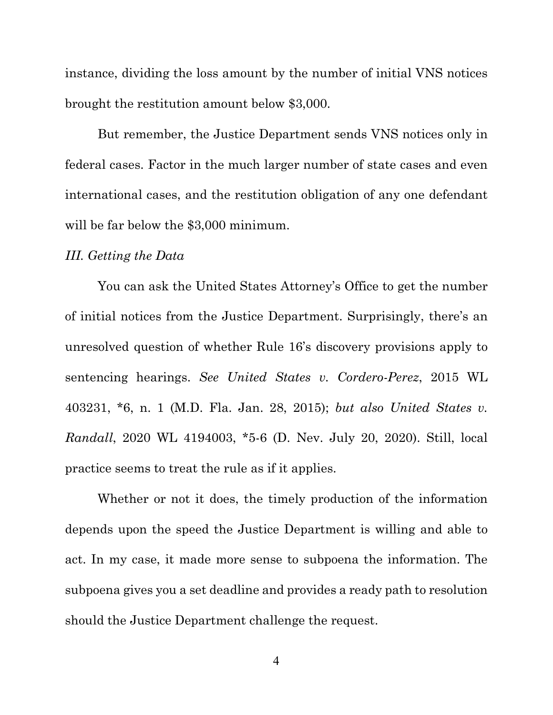instance, dividing the loss amount by the number of initial VNS notices brought the restitution amount below \$3,000.

But remember, the Justice Department sends VNS notices only in federal cases. Factor in the much larger number of state cases and even international cases, and the restitution obligation of any one defendant will be far below the \$3,000 minimum.

#### *III. Getting the Data*

You can ask the United States Attorney's Office to get the number of initial notices from the Justice Department. Surprisingly, there's an unresolved question of whether Rule 16's discovery provisions apply to sentencing hearings. *See United States v. Cordero-Perez*, 2015 WL 403231, \*6, n. 1 (M.D. Fla. Jan. 28, 2015); *but also United States v. Randall*, 2020 WL 4194003, \*5-6 (D. Nev. July 20, 2020). Still, local practice seems to treat the rule as if it applies.

Whether or not it does, the timely production of the information depends upon the speed the Justice Department is willing and able to act. In my case, it made more sense to subpoena the information. The subpoena gives you a set deadline and provides a ready path to resolution should the Justice Department challenge the request.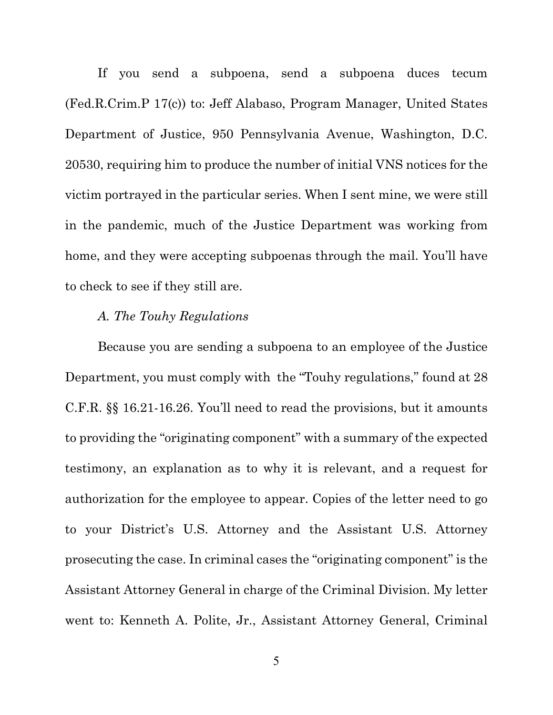If you send a subpoena, send a subpoena duces tecum (Fed.R.Crim.P 17(c)) to: Jeff Alabaso, Program Manager, United States Department of Justice, 950 Pennsylvania Avenue, Washington, D.C. 20530, requiring him to produce the number of initial VNS notices for the victim portrayed in the particular series. When I sent mine, we were still in the pandemic, much of the Justice Department was working from home, and they were accepting subpoenas through the mail. You'll have to check to see if they still are.

## *A. The Touhy Regulations*

Because you are sending a subpoena to an employee of the Justice Department, you must comply with the "Touhy regulations," found at 28 C.F.R. §§ 16.21-16.26. You'll need to read the provisions, but it amounts to providing the "originating component" with a summary of the expected testimony, an explanation as to why it is relevant, and a request for authorization for the employee to appear. Copies of the letter need to go to your District's U.S. Attorney and the Assistant U.S. Attorney prosecuting the case. In criminal cases the "originating component" is the Assistant Attorney General in charge of the Criminal Division. My letter went to: Kenneth A. Polite, Jr., Assistant Attorney General, Criminal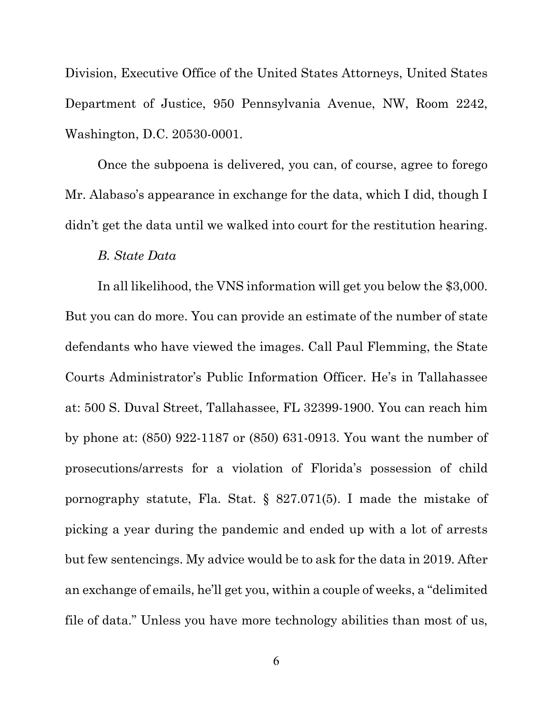Division, Executive Office of the United States Attorneys, United States Department of Justice, 950 Pennsylvania Avenue, NW, Room 2242, Washington, D.C. 20530-0001.

Once the subpoena is delivered, you can, of course, agree to forego Mr. Alabaso's appearance in exchange for the data, which I did, though I didn't get the data until we walked into court for the restitution hearing.

#### *B. State Data*

In all likelihood, the VNS information will get you below the \$3,000. But you can do more. You can provide an estimate of the number of state defendants who have viewed the images. Call Paul Flemming, the State Courts Administrator's Public Information Officer. He's in Tallahassee at: 500 S. Duval Street, Tallahassee, FL 32399-1900. You can reach him by phone at: (850) 922-1187 or (850) 631-0913. You want the number of prosecutions/arrests for a violation of Florida's possession of child pornography statute, Fla. Stat. § 827.071(5). I made the mistake of picking a year during the pandemic and ended up with a lot of arrests but few sentencings. My advice would be to ask for the data in 2019. After an exchange of emails, he'll get you, within a couple of weeks, a "delimited file of data." Unless you have more technology abilities than most of us,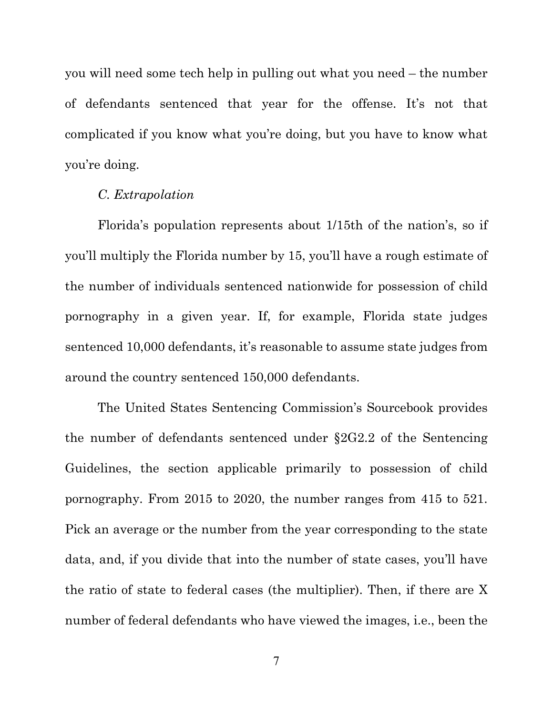you will need some tech help in pulling out what you need – the number of defendants sentenced that year for the offense. It's not that complicated if you know what you're doing, but you have to know what you're doing.

#### *C. Extrapolation*

Florida's population represents about 1/15th of the nation's, so if you'll multiply the Florida number by 15, you'll have a rough estimate of the number of individuals sentenced nationwide for possession of child pornography in a given year. If, for example, Florida state judges sentenced 10,000 defendants, it's reasonable to assume state judges from around the country sentenced 150,000 defendants.

The United States Sentencing Commission's Sourcebook provides the number of defendants sentenced under §2G2.2 of the Sentencing Guidelines, the section applicable primarily to possession of child pornography. From 2015 to 2020, the number ranges from 415 to 521. Pick an average or the number from the year corresponding to the state data, and, if you divide that into the number of state cases, you'll have the ratio of state to federal cases (the multiplier). Then, if there are X number of federal defendants who have viewed the images, i.e., been the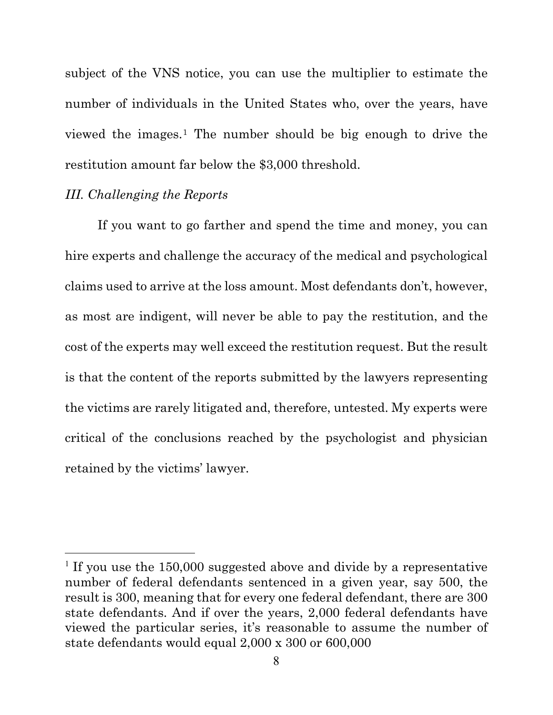subject of the VNS notice, you can use the multiplier to estimate the number of individuals in the United States who, over the years, have viewed the images.[1](#page-7-0) The number should be big enough to drive the restitution amount far below the \$3,000 threshold.

# *III. Challenging the Reports*

If you want to go farther and spend the time and money, you can hire experts and challenge the accuracy of the medical and psychological claims used to arrive at the loss amount. Most defendants don't, however, as most are indigent, will never be able to pay the restitution, and the cost of the experts may well exceed the restitution request. But the result is that the content of the reports submitted by the lawyers representing the victims are rarely litigated and, therefore, untested. My experts were critical of the conclusions reached by the psychologist and physician retained by the victims' lawyer.

<span id="page-7-0"></span><sup>&</sup>lt;sup>1</sup> If you use the  $150,000$  suggested above and divide by a representative number of federal defendants sentenced in a given year, say 500, the result is 300, meaning that for every one federal defendant, there are 300 state defendants. And if over the years, 2,000 federal defendants have viewed the particular series, it's reasonable to assume the number of state defendants would equal 2,000 x 300 or 600,000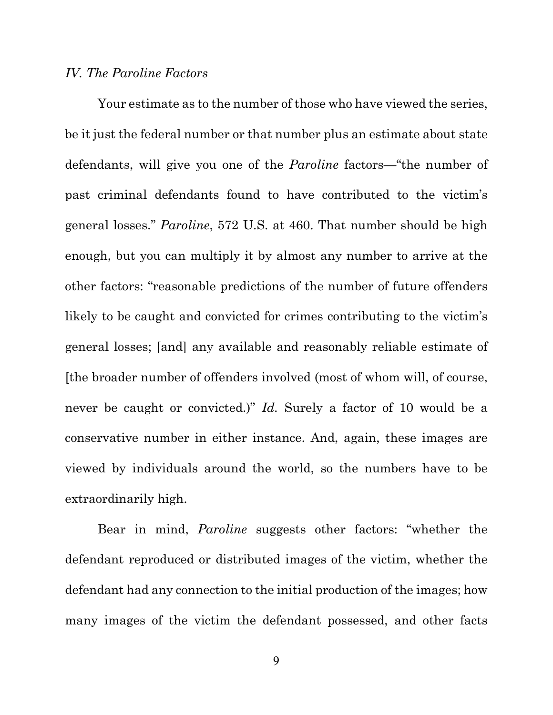### *IV. The Paroline Factors*

Your estimate as to the number of those who have viewed the series, be it just the federal number or that number plus an estimate about state defendants, will give you one of the *Paroline* factors—"the number of past criminal defendants found to have contributed to the victim's general losses." *Paroline*, 572 U.S. at 460. That number should be high enough, but you can multiply it by almost any number to arrive at the other factors: "reasonable predictions of the number of future offenders likely to be caught and convicted for crimes contributing to the victim's general losses; [and] any available and reasonably reliable estimate of [the broader number of offenders involved (most of whom will, of course, never be caught or convicted.)" *Id.* Surely a factor of 10 would be a conservative number in either instance. And, again, these images are viewed by individuals around the world, so the numbers have to be extraordinarily high.

Bear in mind, *Paroline* suggests other factors: "whether the defendant reproduced or distributed images of the victim, whether the defendant had any connection to the initial production of the images; how many images of the victim the defendant possessed, and other facts